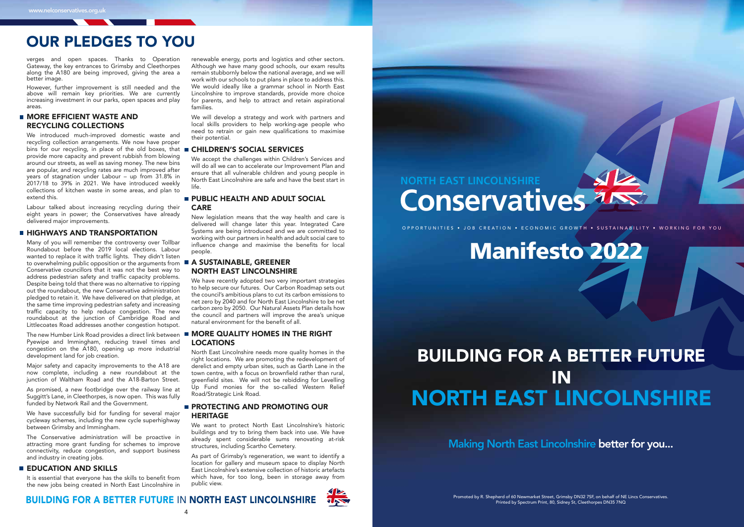Making North East Lincolnshire better for you...

OPPORTUNITIES • JOB CREATION • ECONOMIC GROWTH • SUSTAINABILITY • WORKING FOR YOU

## **NORTH EAST LINCOLNSHIRE Conservatives**



# Manifesto 2022

## BUILDING FOR A BETTER FUTURE IN NORTH EAST LINCOLNSHIRE

### **MORE EFFICIENT WASTE AND** RECYCLING COLLECTIONS

## OUR PLEDGES TO YOU

verges and open spaces. Thanks to Operation Gateway, the key entrances to Grimsby and Cleethorpes along the A180 are being improved, giving the area a better image.

However, further improvement is still needed and the above will remain key priorities. We are currently increasing investment in our parks, open spaces and play areas.

We introduced much-improved domestic waste and recycling collection arrangements. We now have proper bins for our recycling, in place of the old boxes, that provide more capacity and prevent rubbish from blowing around our streets, as well as saving money. The new bins are popular, and recycling rates are much improved after years of stagnation under Labour – up from 31.8% in 2017/18 to 39% in 2021. We have introduced weekly collections of kitchen waste in some areas, and plan to extend this.

Labour talked about increasing recycling during their eight years in power; the Conservatives have already delivered major improvements.

#### **HIGHWAYS AND TRANSPORTATION**

The Conservative administration will be proactive in attracting more grant funding for schemes to improve connectivity, reduce congestion, and support business and industry in creating jobs.

### **EDUCATION AND SKILLS**

Many of you will remember the controversy over Tollbar Roundabout before the 2019 local elections. Labour wanted to replace it with traffic lights. They didn't listen to overwhelming public opposition or the arguments from Conservative councillors that it was not the best way to address pedestrian safety and traffic capacity problems. Despite being told that there was no alternative to ripping out the roundabout, the new Conservative administration pledged to retain it. We have delivered on that pledge, at the same time improving pedestrian safety and increasing traffic capacity to help reduce congestion. The new roundabout at the junction of Cambridge Road and Littlecoates Road addresses another congestion hotspot.

### **PUBLIC HEALTH AND ADULT SOCIAL** CARE

### **A SUSTAINABLE, GREENER** NORTH EAST LINCOLNSHIRE

The new Humber Link Road provides a direct link between Pyewipe and Immingham, reducing travel times and congestion on the A180, opening up more industrial development land for job creation.

We have recently adopted two very important strategies to help secure our futures. Our Carbon Roadmap sets out the council's ambitious plans to cut its carbon emissions to net zero by 2040 and for North East Lincolnshire to be net carbon zero by 2050. Our Natural Assets Plan details how the council and partners will improve the area's unique natural environment for the benefit of all.

### **MORE QUALITY HOMES IN THE RIGHT** LOCATIONS

North East Lincolnshire needs more quality homes in the right locations. We are promoting the redevelopment of derelict and empty urban sites, such as Garth Lane in the town centre, with a focus on brownfield rather than rural, greenfield sites. We will not be rebidding for Levelling Up Fund monies for the so-called Western Relief Road/Strategic Link Road.

Major safety and capacity improvements to the A18 are now complete, including a new roundabout at the junction of Waltham Road and the A18-Barton Street.

### **PROTECTING AND PROMOTING OUR** HERITAGE

As promised, a new footbridge over the railway line at Suggitt's Lane, in Cleethorpes, is now open. This was fully funded by Network Rail and the Government.

We have successfully bid for funding for several major cycleway schemes, including the new cycle superhighway between Grimsby and Immingham.

It is essential that everyone has the skills to benefit from the new jobs being created in North East Lincolnshire in

renewable energy, ports and logistics and other sectors. Although we have many good schools, our exam results remain stubbornly below the national average, and we will work with our schools to put plans in place to address this. We would ideally like a grammar school in North East Lincolnshire to improve standards, provide more choice for parents, and help to attract and retain aspirational families.

We will develop a strategy and work with partners and local skills providers to help working-age people who need to retrain or gain new qualifications to maximise their potential.

### **E CHILDREN'S SOCIAL SERVICES**

We accept the challenges within Children's Services and will do all we can to accelerate our Improvement Plan and ensure that all vulnerable children and young people in North East Lincolnshire are safe and have the best start in life.

New legislation means that the way health and care is delivered will change later this year. Integrated Care Systems are being introduced and we are committed to working with our partners in health and adult social care to influence change and maximise the benefits for local people.

We want to protect North East Lincolnshire's historic buildings and try to bring them back into use. We have already spent considerable sums renovating at-risk structures, including Scartho Cemetery.

As part of Grimsby's regeneration, we want to identify a location for gallery and museum space to display North East Lincolnshire's extensive collection of historic artefacts which have, for too long, been in storage away from public view.